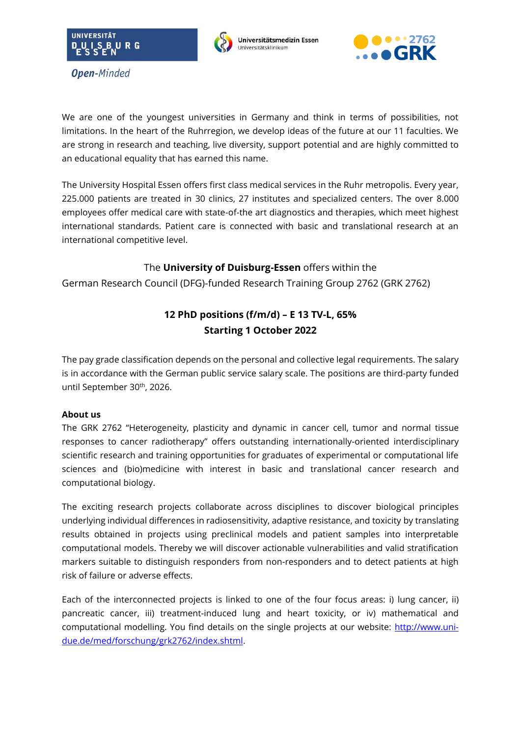

**Open-Minded** 





We are one of the youngest universities in Germany and think in terms of possibilities, not limitations. In the heart of the Ruhrregion, we develop ideas of the future at our 11 faculties. We are strong in research and teaching, live diversity, support potential and are highly committed to an educational equality that has earned this name.

The University Hospital Essen offers first class medical services in the Ruhr metropolis. Every year, 225.000 patients are treated in 30 clinics, 27 institutes and specialized centers. The over 8.000 employees offer medical care with state-of-the art diagnostics and therapies, which meet highest international standards. Patient care is connected with basic and translational research at an international competitive level.

# The **University of Duisburg-Essen** offers within the

German Research Council (DFG)-funded Research Training Group 2762 (GRK 2762)

# **12 PhD positions (f/m/d) – E 13 TV-L, 65% Starting 1 October 2022**

The pay grade classification depends on the personal and collective legal requirements. The salary is in accordance with the German public service salary scale. The positions are third-party funded until September 30<sup>th</sup>, 2026.

## **About us**

The GRK 2762 "Heterogeneity, plasticity and dynamic in cancer cell, tumor and normal tissue responses to cancer radiotherapy" offers outstanding internationally-oriented interdisciplinary scientific research and training opportunities for graduates of experimental or computational life sciences and (bio)medicine with interest in basic and translational cancer research and computational biology.

The exciting research projects collaborate across disciplines to discover biological principles underlying individual differences in radiosensitivity, adaptive resistance, and toxicity by translating results obtained in projects using preclinical models and patient samples into interpretable computational models. Thereby we will discover actionable vulnerabilities and valid stratification markers suitable to distinguish responders from non-responders and to detect patients at high risk of failure or adverse effects.

Each of the interconnected projects is linked to one of the four focus areas: i) lung cancer, ii) pancreatic cancer, iii) treatment-induced lung and heart toxicity, or iv) mathematical and computational modelling. You find details on the single projects at our website: [http://www.uni](http://www.uni-due.de/med/forschung/grk2762/index.shtml)[due.de/med/forschung/grk2762/index.shtml.](http://www.uni-due.de/med/forschung/grk2762/index.shtml)